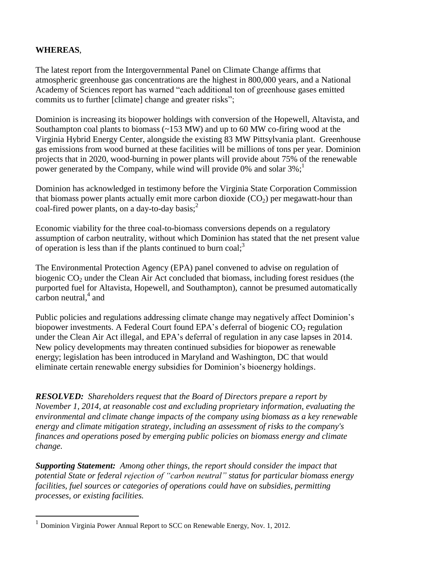## **WHEREAS**,

 $\overline{a}$ 

The latest report from the Intergovernmental Panel on Climate Change affirms that atmospheric greenhouse gas concentrations are the highest in 800,000 years, and a National Academy of Sciences report has warned "each additional ton of greenhouse gases emitted commits us to further [climate] change and greater risks";

Dominion is increasing its biopower holdings with conversion of the Hopewell, Altavista, and Southampton coal plants to biomass  $(\sim 153 \text{ MW})$  and up to 60 MW co-firing wood at the Virginia Hybrid Energy Center, alongside the existing 83 MW Pittsylvania plant. Greenhouse gas emissions from wood burned at these facilities will be millions of tons per year. Dominion projects that in 2020, wood-burning in power plants will provide about 75% of the renewable power generated by the Company, while wind will provide 0% and solar  $3\%$ ;

Dominion has acknowledged in testimony before the Virginia State Corporation Commission that biomass power plants actually emit more carbon dioxide  $(CO<sub>2</sub>)$  per megawatt-hour than coal-fired power plants, on a day-to-day basis; 2

Economic viability for the three coal-to-biomass conversions depends on a regulatory assumption of carbon neutrality, without which Dominion has stated that the net present value of operation is less than if the plants continued to burn coal;<sup>3</sup>

The Environmental Protection Agency (EPA) panel convened to advise on regulation of biogenic  $CO<sub>2</sub>$  under the Clean Air Act concluded that biomass, including forest residues (the purported fuel for Altavista, Hopewell, and Southampton), cannot be presumed automatically carbon neutral, $4$  and

Public policies and regulations addressing climate change may negatively affect Dominion's biopower investments. A Federal Court found EPA's deferral of biogenic  $CO<sub>2</sub>$  regulation under the Clean Air Act illegal, and EPA's deferral of regulation in any case lapses in 2014. New policy developments may threaten continued subsidies for biopower as renewable energy; legislation has been introduced in Maryland and Washington, DC that would eliminate certain renewable energy subsidies for Dominion's bioenergy holdings.

*RESOLVED: Shareholders request that the Board of Directors prepare a report by November 1, 2014, at reasonable cost and excluding proprietary information, evaluating the environmental and climate change impacts of the company using biomass as a key renewable energy and climate mitigation strategy, including an assessment of risks to the company's finances and operations posed by emerging public policies on biomass energy and climate change.*

*Supporting Statement: Among other things, the report should consider the impact that potential State or federal rejection of "carbon neutral" status for particular biomass energy facilities, fuel sources or categories of operations could have on subsidies, permitting processes, or existing facilities.*

<sup>1</sup> Dominion Virginia Power Annual Report to SCC on Renewable Energy, Nov. 1, 2012.